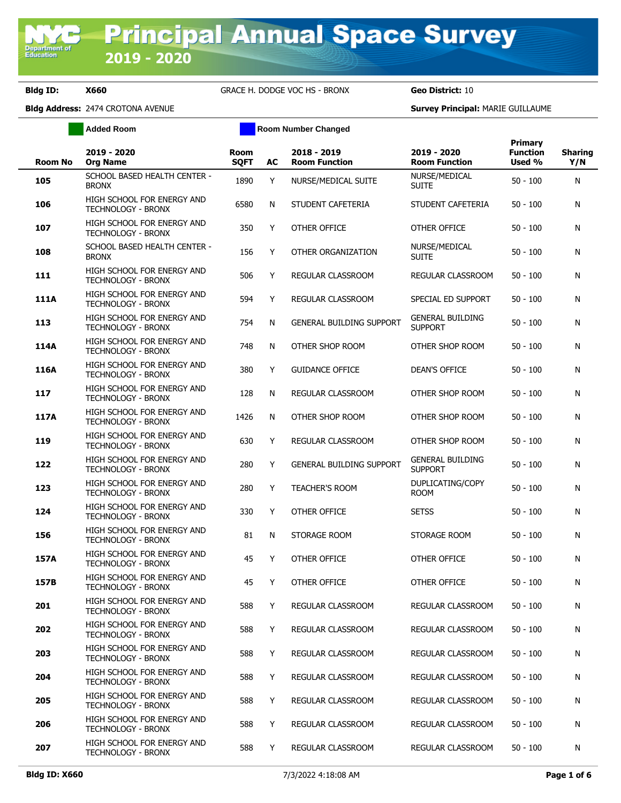Department of<br>Education

**Bldg ID: X660** GRACE H. DODGE VOC HS - BRONX **Geo District:** 10

**Added Room Room Room Number Changed** 

|                |                                                         |                            |    |                                     |                                           | <b>Primary</b>            |                       |
|----------------|---------------------------------------------------------|----------------------------|----|-------------------------------------|-------------------------------------------|---------------------------|-----------------------|
| <b>Room No</b> | 2019 - 2020<br><b>Org Name</b>                          | <b>Room</b><br><b>SQFT</b> | AC | 2018 - 2019<br><b>Room Function</b> | 2019 - 2020<br><b>Room Function</b>       | <b>Function</b><br>Used % | <b>Sharing</b><br>Y/N |
| 105            | SCHOOL BASED HEALTH CENTER -<br><b>BRONX</b>            | 1890                       | Y  | NURSE/MEDICAL SUITE                 | NURSE/MEDICAL<br><b>SUITE</b>             | $50 - 100$                | N                     |
| 106            | HIGH SCHOOL FOR ENERGY AND<br><b>TECHNOLOGY - BRONX</b> | 6580                       | N  | STUDENT CAFETERIA                   | STUDENT CAFETERIA                         | $50 - 100$                | N                     |
| 107            | HIGH SCHOOL FOR ENERGY AND<br><b>TECHNOLOGY - BRONX</b> | 350                        | Υ  | OTHER OFFICE                        | OTHER OFFICE                              | $50 - 100$                | N                     |
| 108            | SCHOOL BASED HEALTH CENTER -<br><b>BRONX</b>            | 156                        | Y  | OTHER ORGANIZATION                  | NURSE/MEDICAL<br><b>SUITE</b>             | $50 - 100$                | N                     |
| 111            | HIGH SCHOOL FOR ENERGY AND<br>TECHNOLOGY - BRONX        | 506                        | Y  | <b>REGULAR CLASSROOM</b>            | REGULAR CLASSROOM                         | 50 - 100                  | N                     |
| 111A           | HIGH SCHOOL FOR ENERGY AND<br><b>TECHNOLOGY - BRONX</b> | 594                        | Y  | REGULAR CLASSROOM                   | SPECIAL ED SUPPORT                        | $50 - 100$                | N                     |
| 113            | HIGH SCHOOL FOR ENERGY AND<br><b>TECHNOLOGY - BRONX</b> | 754                        | N  | <b>GENERAL BUILDING SUPPORT</b>     | <b>GENERAL BUILDING</b><br><b>SUPPORT</b> | $50 - 100$                | N                     |
| 114A           | HIGH SCHOOL FOR ENERGY AND<br><b>TECHNOLOGY - BRONX</b> | 748                        | N  | OTHER SHOP ROOM                     | OTHER SHOP ROOM                           | $50 - 100$                | N                     |
| 116A           | HIGH SCHOOL FOR ENERGY AND<br><b>TECHNOLOGY - BRONX</b> | 380                        | Y  | <b>GUIDANCE OFFICE</b>              | <b>DEAN'S OFFICE</b>                      | $50 - 100$                | N                     |
| 117            | HIGH SCHOOL FOR ENERGY AND<br>TECHNOLOGY - BRONX        | 128                        | N  | <b>REGULAR CLASSROOM</b>            | OTHER SHOP ROOM                           | $50 - 100$                | N                     |
| 117A           | HIGH SCHOOL FOR ENERGY AND<br>TECHNOLOGY - BRONX        | 1426                       | N  | OTHER SHOP ROOM                     | OTHER SHOP ROOM                           | $50 - 100$                | N                     |
| 119            | HIGH SCHOOL FOR ENERGY AND<br>TECHNOLOGY - BRONX        | 630                        | Y  | REGULAR CLASSROOM                   | OTHER SHOP ROOM                           | $50 - 100$                | N                     |
| 122            | HIGH SCHOOL FOR ENERGY AND<br>TECHNOLOGY - BRONX        | 280                        | Y  | <b>GENERAL BUILDING SUPPORT</b>     | <b>GENERAL BUILDING</b><br><b>SUPPORT</b> | $50 - 100$                | N                     |
| 123            | HIGH SCHOOL FOR ENERGY AND<br>TECHNOLOGY - BRONX        | 280                        | Y  | <b>TEACHER'S ROOM</b>               | DUPLICATING/COPY<br><b>ROOM</b>           | $50 - 100$                | N                     |
| 124            | HIGH SCHOOL FOR ENERGY AND<br>TECHNOLOGY - BRONX        | 330                        | Y  | OTHER OFFICE                        | <b>SETSS</b>                              | $50 - 100$                | N                     |
| 156            | HIGH SCHOOL FOR ENERGY AND<br><b>TECHNOLOGY - BRONX</b> | 81                         | N  | STORAGE ROOM                        | STORAGE ROOM                              | $50 - 100$                | N                     |
| 157A           | HIGH SCHOOL FOR ENERGY AND<br>TECHNOLOGY - BRONX        | 45                         | Y  | OTHER OFFICE                        | OTHER OFFICE                              | $50 - 100$                | N                     |
| 157B           | HIGH SCHOOL FOR ENERGY AND<br><b>TECHNOLOGY - BRONX</b> | 45                         | Y  | OTHER OFFICE                        | OTHER OFFICE                              | $50 - 100$                | N                     |
| 201            | HIGH SCHOOL FOR ENERGY AND<br>TECHNOLOGY - BRONX        | 588                        | Y  | REGULAR CLASSROOM                   | REGULAR CLASSROOM                         | $50 - 100$                | N                     |
| 202            | HIGH SCHOOL FOR ENERGY AND<br><b>TECHNOLOGY - BRONX</b> | 588                        | Y  | REGULAR CLASSROOM                   | REGULAR CLASSROOM                         | $50 - 100$                | N                     |
| 203            | HIGH SCHOOL FOR ENERGY AND<br>TECHNOLOGY - BRONX        | 588                        | Y  | REGULAR CLASSROOM                   | REGULAR CLASSROOM                         | $50 - 100$                | N                     |
| 204            | HIGH SCHOOL FOR ENERGY AND<br>TECHNOLOGY - BRONX        | 588                        | Y  | <b>REGULAR CLASSROOM</b>            | REGULAR CLASSROOM                         | $50 - 100$                | N                     |
| 205            | HIGH SCHOOL FOR ENERGY AND<br>TECHNOLOGY - BRONX        | 588                        | Y  | <b>REGULAR CLASSROOM</b>            | REGULAR CLASSROOM                         | $50 - 100$                | N                     |
| 206            | HIGH SCHOOL FOR ENERGY AND<br>TECHNOLOGY - BRONX        | 588                        | Y  | REGULAR CLASSROOM                   | REGULAR CLASSROOM                         | $50 - 100$                | N                     |
| 207            | HIGH SCHOOL FOR ENERGY AND<br>TECHNOLOGY - BRONX        | 588                        | Y  | REGULAR CLASSROOM                   | REGULAR CLASSROOM                         | $50 - 100$                | N                     |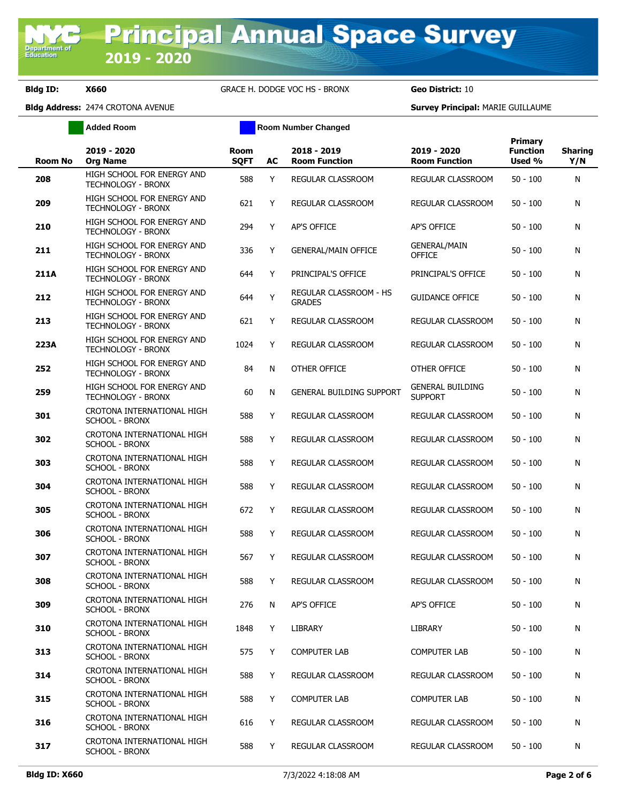**Bldg ID: X660** GRACE H. DODGE VOC HS - BRONX **Geo District:** 10

**Added Room Room Room Number Changed** 

| Room No | 2019 - 2020<br><b>Org Name</b>                          | <b>Room</b><br><b>SOFT</b> | AC | 2018 - 2019<br><b>Room Function</b>     | 2019 - 2020<br><b>Room Function</b>       | <b>Primary</b><br><b>Function</b><br>Used % | <b>Sharing</b><br>Y/N |
|---------|---------------------------------------------------------|----------------------------|----|-----------------------------------------|-------------------------------------------|---------------------------------------------|-----------------------|
| 208     | HIGH SCHOOL FOR ENERGY AND<br><b>TECHNOLOGY - BRONX</b> | 588                        | Y  | REGULAR CLASSROOM                       | REGULAR CLASSROOM                         | $50 - 100$                                  | N                     |
| 209     | HIGH SCHOOL FOR ENERGY AND<br>TECHNOLOGY - BRONX        | 621                        | Y  | REGULAR CLASSROOM                       | REGULAR CLASSROOM                         | $50 - 100$                                  | N                     |
| 210     | HIGH SCHOOL FOR ENERGY AND<br>TECHNOLOGY - BRONX        | 294                        | Y  | AP'S OFFICE                             | AP'S OFFICE                               | $50 - 100$                                  | N                     |
| 211     | HIGH SCHOOL FOR ENERGY AND<br>TECHNOLOGY - BRONX        | 336                        | Y  | <b>GENERAL/MAIN OFFICE</b>              | <b>GENERAL/MAIN</b><br><b>OFFICE</b>      | $50 - 100$                                  | N                     |
| 211A    | HIGH SCHOOL FOR ENERGY AND<br><b>TECHNOLOGY - BRONX</b> | 644                        | Y  | PRINCIPAL'S OFFICE                      | PRINCIPAL'S OFFICE                        | $50 - 100$                                  | N                     |
| 212     | HIGH SCHOOL FOR ENERGY AND<br>TECHNOLOGY - BRONX        | 644                        | Y  | REGULAR CLASSROOM - HS<br><b>GRADES</b> | <b>GUIDANCE OFFICE</b>                    | $50 - 100$                                  | N                     |
| 213     | HIGH SCHOOL FOR ENERGY AND<br><b>TECHNOLOGY - BRONX</b> | 621                        | Y  | REGULAR CLASSROOM                       | REGULAR CLASSROOM                         | $50 - 100$                                  | N                     |
| 223A    | HIGH SCHOOL FOR ENERGY AND<br>TECHNOLOGY - BRONX        | 1024                       | Y  | REGULAR CLASSROOM                       | REGULAR CLASSROOM                         | $50 - 100$                                  | N                     |
| 252     | HIGH SCHOOL FOR ENERGY AND<br><b>TECHNOLOGY - BRONX</b> | 84                         | N  | OTHER OFFICE                            | OTHER OFFICE                              | $50 - 100$                                  | N                     |
| 259     | HIGH SCHOOL FOR ENERGY AND<br><b>TECHNOLOGY - BRONX</b> | 60                         | N  | <b>GENERAL BUILDING SUPPORT</b>         | <b>GENERAL BUILDING</b><br><b>SUPPORT</b> | $50 - 100$                                  | N                     |
| 301     | CROTONA INTERNATIONAL HIGH<br><b>SCHOOL - BRONX</b>     | 588                        | Y  | <b>REGULAR CLASSROOM</b>                | REGULAR CLASSROOM                         | $50 - 100$                                  | N                     |
| 302     | CROTONA INTERNATIONAL HIGH<br><b>SCHOOL - BRONX</b>     | 588                        | Y  | REGULAR CLASSROOM                       | REGULAR CLASSROOM                         | $50 - 100$                                  | N                     |
| 303     | CROTONA INTERNATIONAL HIGH<br><b>SCHOOL - BRONX</b>     | 588                        | Y  | REGULAR CLASSROOM                       | REGULAR CLASSROOM                         | $50 - 100$                                  | N                     |
| 304     | CROTONA INTERNATIONAL HIGH<br><b>SCHOOL - BRONX</b>     | 588                        | Y  | REGULAR CLASSROOM                       | REGULAR CLASSROOM                         | $50 - 100$                                  | N                     |
| 305     | CROTONA INTERNATIONAL HIGH<br><b>SCHOOL - BRONX</b>     | 672                        | Y  | REGULAR CLASSROOM                       | REGULAR CLASSROOM                         | $50 - 100$                                  | N                     |
| 306     | CROTONA INTERNATIONAL HIGH<br><b>SCHOOL - BRONX</b>     | 588                        | Y  | REGULAR CLASSROOM                       | <b>REGULAR CLASSROOM</b>                  | $50 - 100$                                  | N                     |
| 307     | CROTONA INTERNATIONAL HIGH<br><b>SCHOOL - BRONX</b>     | 567                        | Y  | REGULAR CLASSROOM                       | REGULAR CLASSROOM                         | $50 - 100$                                  | N                     |
| 308     | CROTONA INTERNATIONAL HIGH<br><b>SCHOOL - BRONX</b>     | 588                        | Y  | REGULAR CLASSROOM                       | REGULAR CLASSROOM                         | $50 - 100$                                  | N                     |
| 309     | CROTONA INTERNATIONAL HIGH<br><b>SCHOOL - BRONX</b>     | 276                        | N  | <b>AP'S OFFICE</b>                      | <b>AP'S OFFICE</b>                        | $50 - 100$                                  | N                     |
| 310     | CROTONA INTERNATIONAL HIGH<br><b>SCHOOL - BRONX</b>     | 1848                       | Y  | LIBRARY                                 | <b>LIBRARY</b>                            | $50 - 100$                                  | N                     |
| 313     | CROTONA INTERNATIONAL HIGH<br><b>SCHOOL - BRONX</b>     | 575                        | Y  | <b>COMPUTER LAB</b>                     | <b>COMPUTER LAB</b>                       | $50 - 100$                                  | N                     |
| 314     | CROTONA INTERNATIONAL HIGH<br><b>SCHOOL - BRONX</b>     | 588                        | Y  | REGULAR CLASSROOM                       | REGULAR CLASSROOM                         | $50 - 100$                                  | N                     |
| 315     | CROTONA INTERNATIONAL HIGH<br><b>SCHOOL - BRONX</b>     | 588                        | Y  | <b>COMPUTER LAB</b>                     | <b>COMPUTER LAB</b>                       | $50 - 100$                                  | N                     |
| 316     | CROTONA INTERNATIONAL HIGH<br><b>SCHOOL - BRONX</b>     | 616                        | Y  | REGULAR CLASSROOM                       | REGULAR CLASSROOM                         | $50 - 100$                                  | N                     |
| 317     | CROTONA INTERNATIONAL HIGH<br><b>SCHOOL - BRONX</b>     | 588                        | Y  | REGULAR CLASSROOM                       | REGULAR CLASSROOM                         | $50 - 100$                                  | N                     |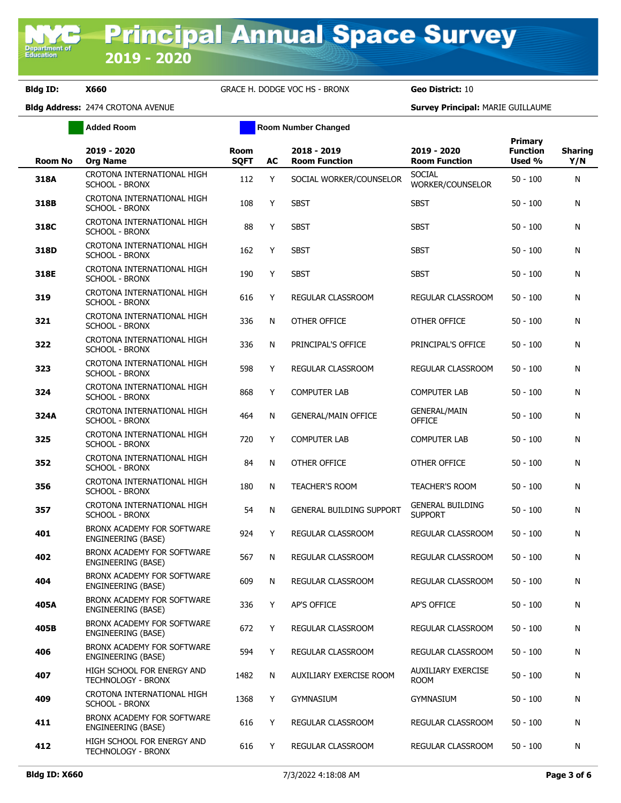**Bldg ID: X660** GRACE H. DODGE VOC HS - BRONX **Geo District:** 10

**Added Room Room Room Number Changed** 

| <b>Room No</b> | 2019 - 2020<br><b>Org Name</b>                          | <b>Room</b><br><b>SOFT</b> | AC | 2018 - 2019<br><b>Room Function</b> | 2019 - 2020<br><b>Room Function</b>       | <b>Primary</b><br><b>Function</b><br>Used % | <b>Sharing</b><br>Y/N |
|----------------|---------------------------------------------------------|----------------------------|----|-------------------------------------|-------------------------------------------|---------------------------------------------|-----------------------|
| 318A           | CROTONA INTERNATIONAL HIGH<br>SCHOOL - BRONX            | 112                        | Y  | SOCIAL WORKER/COUNSELOR             | <b>SOCIAL</b><br>WORKER/COUNSELOR         | $50 - 100$                                  | N                     |
| 318B           | CROTONA INTERNATIONAL HIGH<br>SCHOOL - BRONX            | 108                        | Y  | <b>SBST</b>                         | <b>SBST</b>                               | $50 - 100$                                  | N                     |
| 318C           | CROTONA INTERNATIONAL HIGH<br><b>SCHOOL - BRONX</b>     | 88                         | Y  | <b>SBST</b>                         | <b>SBST</b>                               | $50 - 100$                                  | N                     |
| 318D           | CROTONA INTERNATIONAL HIGH<br>SCHOOL - BRONX            | 162                        | Y  | <b>SBST</b>                         | <b>SBST</b>                               | $50 - 100$                                  | N                     |
| 318E           | CROTONA INTERNATIONAL HIGH<br>SCHOOL - BRONX            | 190                        | Y  | <b>SBST</b>                         | <b>SBST</b>                               | $50 - 100$                                  | N                     |
| 319            | CROTONA INTERNATIONAL HIGH<br><b>SCHOOL - BRONX</b>     | 616                        | Y  | REGULAR CLASSROOM                   | REGULAR CLASSROOM                         | $50 - 100$                                  | N                     |
| 321            | CROTONA INTERNATIONAL HIGH<br><b>SCHOOL - BRONX</b>     | 336                        | N  | OTHER OFFICE                        | OTHER OFFICE                              | $50 - 100$                                  | N                     |
| 322            | CROTONA INTERNATIONAL HIGH<br><b>SCHOOL - BRONX</b>     | 336                        | N  | PRINCIPAL'S OFFICE                  | PRINCIPAL'S OFFICE                        | $50 - 100$                                  | N                     |
| 323            | CROTONA INTERNATIONAL HIGH<br><b>SCHOOL - BRONX</b>     | 598                        | Y  | REGULAR CLASSROOM                   | REGULAR CLASSROOM                         | $50 - 100$                                  | N                     |
| 324            | CROTONA INTERNATIONAL HIGH<br><b>SCHOOL - BRONX</b>     | 868                        | Y  | <b>COMPUTER LAB</b>                 | <b>COMPUTER LAB</b>                       | $50 - 100$                                  | N                     |
| 324A           | CROTONA INTERNATIONAL HIGH<br><b>SCHOOL - BRONX</b>     | 464                        | N  | <b>GENERAL/MAIN OFFICE</b>          | <b>GENERAL/MAIN</b><br><b>OFFICE</b>      | $50 - 100$                                  | N                     |
| 325            | CROTONA INTERNATIONAL HIGH<br><b>SCHOOL - BRONX</b>     | 720                        | Y  | <b>COMPUTER LAB</b>                 | <b>COMPUTER LAB</b>                       | $50 - 100$                                  | N                     |
| 352            | CROTONA INTERNATIONAL HIGH<br><b>SCHOOL - BRONX</b>     | 84                         | N  | OTHER OFFICE                        | OTHER OFFICE                              | $50 - 100$                                  | N                     |
| 356            | CROTONA INTERNATIONAL HIGH<br><b>SCHOOL - BRONX</b>     | 180                        | N  | <b>TEACHER'S ROOM</b>               | <b>TEACHER'S ROOM</b>                     | $50 - 100$                                  | N                     |
| 357            | CROTONA INTERNATIONAL HIGH<br><b>SCHOOL - BRONX</b>     | 54                         | N  | <b>GENERAL BUILDING SUPPORT</b>     | <b>GENERAL BUILDING</b><br><b>SUPPORT</b> | $50 - 100$                                  | N                     |
| 401            | BRONX ACADEMY FOR SOFTWARE<br>ENGINEERING (BASE)        | 924                        | Y  | REGULAR CLASSROOM                   | REGULAR CLASSROOM                         | $50 - 100$                                  | N                     |
| 402            | BRONX ACADEMY FOR SOFTWARE<br>ENGINEERING (BASE)        | 567                        | N  | REGULAR CLASSROOM                   | <b>REGULAR CLASSROOM</b>                  | $50 - 100$                                  | N                     |
| 404            | BRONX ACADEMY FOR SOFTWARE<br>ENGINEERING (BASE)        | 609                        | N  | REGULAR CLASSROOM                   | REGULAR CLASSROOM                         | $50 - 100$                                  | N                     |
| 405A           | BRONX ACADEMY FOR SOFTWARE<br>ENGINEERING (BASE)        | 336                        | Y  | AP'S OFFICE                         | AP'S OFFICE                               | $50 - 100$                                  | N                     |
| 405B           | BRONX ACADEMY FOR SOFTWARE<br>ENGINEERING (BASE)        | 672                        | Y  | REGULAR CLASSROOM                   | REGULAR CLASSROOM                         | $50 - 100$                                  | N                     |
| 406            | BRONX ACADEMY FOR SOFTWARE<br>ENGINEERING (BASE)        | 594                        | Y  | REGULAR CLASSROOM                   | REGULAR CLASSROOM                         | $50 - 100$                                  | N                     |
| 407            | HIGH SCHOOL FOR ENERGY AND<br>TECHNOLOGY - BRONX        | 1482                       | N  | AUXILIARY EXERCISE ROOM             | <b>AUXILIARY EXERCISE</b><br><b>ROOM</b>  | $50 - 100$                                  | N                     |
| 409            | CROTONA INTERNATIONAL HIGH<br>SCHOOL - BRONX            | 1368                       | Y  | <b>GYMNASIUM</b>                    | <b>GYMNASIUM</b>                          | $50 - 100$                                  | N                     |
| 411            | BRONX ACADEMY FOR SOFTWARE<br>ENGINEERING (BASE)        | 616                        | Υ  | REGULAR CLASSROOM                   | REGULAR CLASSROOM                         | $50 - 100$                                  | N                     |
| 412            | HIGH SCHOOL FOR ENERGY AND<br><b>TECHNOLOGY - BRONX</b> | 616                        | Y  | REGULAR CLASSROOM                   | REGULAR CLASSROOM                         | $50 - 100$                                  | N                     |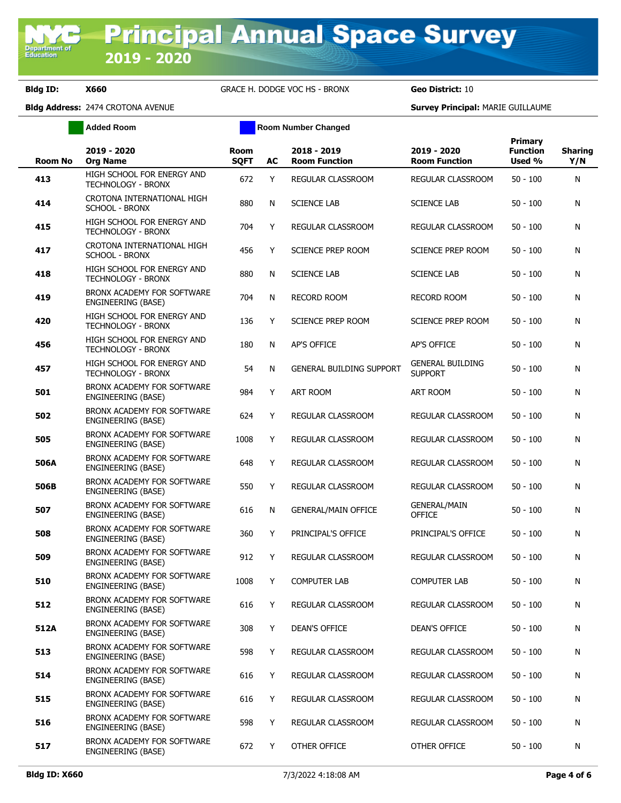**Bldg ID: X660** GRACE H. DODGE VOC HS - BRONX **Geo District:** 10

**Added Room Room Room Number Changed** 

| <b>Room No</b> | 2019 - 2020<br><b>Org Name</b>                          | Room<br><b>SQFT</b> | AC | 2018 - 2019<br><b>Room Function</b> | 2019 - 2020<br><b>Room Function</b>       | Primary<br><b>Function</b><br>Used % | <b>Sharing</b><br>Y/N |
|----------------|---------------------------------------------------------|---------------------|----|-------------------------------------|-------------------------------------------|--------------------------------------|-----------------------|
| 413            | HIGH SCHOOL FOR ENERGY AND<br><b>TECHNOLOGY - BRONX</b> | 672                 | Y  | REGULAR CLASSROOM                   | REGULAR CLASSROOM                         | $50 - 100$                           | N                     |
| 414            | CROTONA INTERNATIONAL HIGH<br><b>SCHOOL - BRONX</b>     | 880                 | N  | <b>SCIENCE LAB</b>                  | <b>SCIENCE LAB</b>                        | $50 - 100$                           | N                     |
| 415            | HIGH SCHOOL FOR ENERGY AND<br><b>TECHNOLOGY - BRONX</b> | 704                 | Y  | REGULAR CLASSROOM                   | REGULAR CLASSROOM                         | $50 - 100$                           | N                     |
| 417            | CROTONA INTERNATIONAL HIGH<br><b>SCHOOL - BRONX</b>     | 456                 | Y  | SCIENCE PREP ROOM                   | SCIENCE PREP ROOM                         | $50 - 100$                           | N                     |
| 418            | HIGH SCHOOL FOR ENERGY AND<br><b>TECHNOLOGY - BRONX</b> | 880                 | N  | <b>SCIENCE LAB</b>                  | <b>SCIENCE LAB</b>                        | $50 - 100$                           | N                     |
| 419            | BRONX ACADEMY FOR SOFTWARE<br>ENGINEERING (BASE)        | 704                 | N  | <b>RECORD ROOM</b>                  | RECORD ROOM                               | $50 - 100$                           | N                     |
| 420            | HIGH SCHOOL FOR ENERGY AND<br>TECHNOLOGY - BRONX        | 136                 | Y  | <b>SCIENCE PREP ROOM</b>            | <b>SCIENCE PREP ROOM</b>                  | $50 - 100$                           | N                     |
| 456            | HIGH SCHOOL FOR ENERGY AND<br><b>TECHNOLOGY - BRONX</b> | 180                 | N  | <b>AP'S OFFICE</b>                  | AP'S OFFICE                               | $50 - 100$                           | N                     |
| 457            | HIGH SCHOOL FOR ENERGY AND<br><b>TECHNOLOGY - BRONX</b> | 54                  | N  | <b>GENERAL BUILDING SUPPORT</b>     | <b>GENERAL BUILDING</b><br><b>SUPPORT</b> | $50 - 100$                           | N                     |
| 501            | BRONX ACADEMY FOR SOFTWARE<br>ENGINEERING (BASE)        | 984                 | Y  | <b>ART ROOM</b>                     | ART ROOM                                  | $50 - 100$                           | N                     |
| 502            | BRONX ACADEMY FOR SOFTWARE<br>ENGINEERING (BASE)        | 624                 | Y  | REGULAR CLASSROOM                   | REGULAR CLASSROOM                         | $50 - 100$                           | N                     |
| 505            | BRONX ACADEMY FOR SOFTWARE<br>ENGINEERING (BASE)        | 1008                | Y  | REGULAR CLASSROOM                   | REGULAR CLASSROOM                         | $50 - 100$                           | N                     |
| 506A           | BRONX ACADEMY FOR SOFTWARE<br>ENGINEERING (BASE)        | 648                 | Y  | REGULAR CLASSROOM                   | REGULAR CLASSROOM                         | $50 - 100$                           | N                     |
| 506B           | BRONX ACADEMY FOR SOFTWARE<br>ENGINEERING (BASE)        | 550                 | Y  | REGULAR CLASSROOM                   | REGULAR CLASSROOM                         | $50 - 100$                           | N                     |
| 507            | BRONX ACADEMY FOR SOFTWARE<br>ENGINEERING (BASE)        | 616                 | N  | <b>GENERAL/MAIN OFFICE</b>          | <b>GENERAL/MAIN</b><br><b>OFFICE</b>      | $50 - 100$                           | N                     |
| 508            | BRONX ACADEMY FOR SOFTWARE<br><b>ENGINEERING (BASE)</b> | 360                 | Y  | PRINCIPAL'S OFFICE                  | PRINCIPAL'S OFFICE                        | $50 - 100$                           | N                     |
| 509            | BRONX ACADEMY FOR SOFTWARE<br>ENGINEERING (BASE)        | 912                 | Y  | REGULAR CLASSROOM                   | REGULAR CLASSROOM                         | $50 - 100$                           | N                     |
| 510            | BRONX ACADEMY FOR SOFTWARE<br>ENGINEERING (BASE)        | 1008                | Y  | <b>COMPUTER LAB</b>                 | <b>COMPUTER LAB</b>                       | $50 - 100$                           | N                     |
| 512            | BRONX ACADEMY FOR SOFTWARE<br>ENGINEERING (BASE)        | 616                 | Y  | REGULAR CLASSROOM                   | REGULAR CLASSROOM                         | $50 - 100$                           | N                     |
| 512A           | BRONX ACADEMY FOR SOFTWARE<br>ENGINEERING (BASE)        | 308                 | Y  | DEAN'S OFFICE                       | DEAN'S OFFICE                             | $50 - 100$                           | N                     |
| 513            | BRONX ACADEMY FOR SOFTWARE<br>ENGINEERING (BASE)        | 598                 | Y  | REGULAR CLASSROOM                   | REGULAR CLASSROOM                         | $50 - 100$                           | N                     |
| 514            | BRONX ACADEMY FOR SOFTWARE<br>ENGINEERING (BASE)        | 616                 | Y  | REGULAR CLASSROOM                   | REGULAR CLASSROOM                         | $50 - 100$                           | N                     |
| 515            | BRONX ACADEMY FOR SOFTWARE<br>ENGINEERING (BASE)        | 616                 | Y  | REGULAR CLASSROOM                   | REGULAR CLASSROOM                         | $50 - 100$                           | N                     |
| 516            | BRONX ACADEMY FOR SOFTWARE<br>ENGINEERING (BASE)        | 598                 | Y  | REGULAR CLASSROOM                   | REGULAR CLASSROOM                         | $50 - 100$                           | N                     |
| 517            | BRONX ACADEMY FOR SOFTWARE<br>ENGINEERING (BASE)        | 672                 | Y  | OTHER OFFICE                        | OTHER OFFICE                              | $50 - 100$                           | N                     |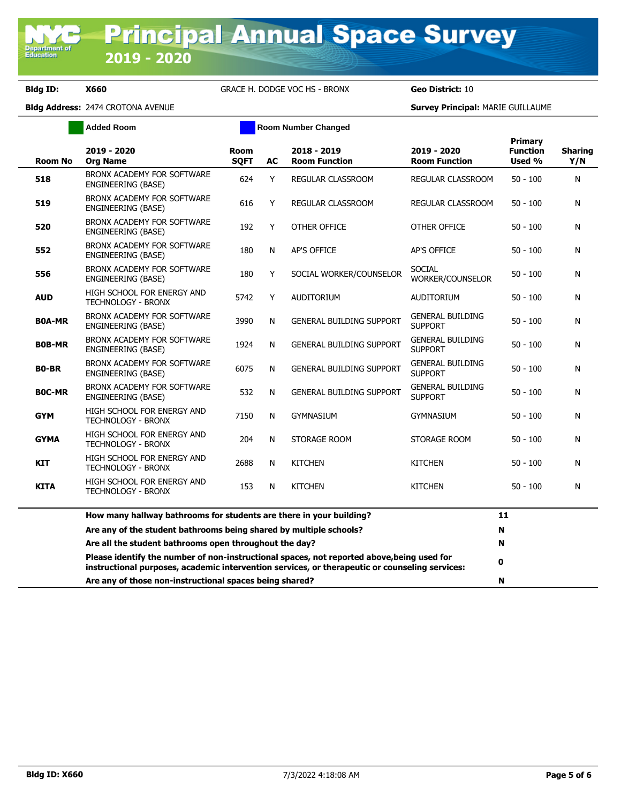**Department** o<br>Education

**Bldg ID: X660** GRACE H. DODGE VOC HS - BRONX **Geo District:** 10

|                | <b>Added Room</b>                                                                                                                                                                            |                            |    | <b>Room Number Changed</b>          |                                           |                                             |                       |
|----------------|----------------------------------------------------------------------------------------------------------------------------------------------------------------------------------------------|----------------------------|----|-------------------------------------|-------------------------------------------|---------------------------------------------|-----------------------|
| <b>Room No</b> | 2019 - 2020<br><b>Org Name</b>                                                                                                                                                               | <b>Room</b><br><b>SOFT</b> | AC | 2018 - 2019<br><b>Room Function</b> | 2019 - 2020<br><b>Room Function</b>       | <b>Primary</b><br><b>Function</b><br>Used % | <b>Sharing</b><br>Y/N |
| 518            | BRONX ACADEMY FOR SOFTWARE<br>ENGINEERING (BASE)                                                                                                                                             | 624                        | Y  | REGULAR CLASSROOM                   | REGULAR CLASSROOM                         | $50 - 100$                                  | N                     |
| 519            | BRONX ACADEMY FOR SOFTWARE<br>ENGINEERING (BASE)                                                                                                                                             | 616                        | Y  | <b>REGULAR CLASSROOM</b>            | REGULAR CLASSROOM                         | $50 - 100$                                  | N                     |
| 520            | BRONX ACADEMY FOR SOFTWARE<br>ENGINEERING (BASE)                                                                                                                                             | 192                        | Y  | OTHER OFFICE                        | OTHER OFFICE                              | $50 - 100$                                  | N                     |
| 552            | BRONX ACADEMY FOR SOFTWARE<br>ENGINEERING (BASE)                                                                                                                                             | 180                        | N  | <b>AP'S OFFICE</b>                  | <b>AP'S OFFICE</b>                        | $50 - 100$                                  | N                     |
| 556            | BRONX ACADEMY FOR SOFTWARE<br>ENGINEERING (BASE)                                                                                                                                             | 180                        | Y  | SOCIAL WORKER/COUNSELOR             | SOCIAL<br>WORKER/COUNSELOR                | $50 - 100$                                  | N                     |
| <b>AUD</b>     | HIGH SCHOOL FOR ENERGY AND<br><b>TECHNOLOGY - BRONX</b>                                                                                                                                      | 5742                       | Y  | <b>AUDITORIUM</b>                   | <b>AUDITORIUM</b>                         | $50 - 100$                                  | N                     |
| <b>BOA-MR</b>  | BRONX ACADEMY FOR SOFTWARE<br>ENGINEERING (BASE)                                                                                                                                             | 3990                       | N  | <b>GENERAL BUILDING SUPPORT</b>     | <b>GENERAL BUILDING</b><br><b>SUPPORT</b> | $50 - 100$                                  | N                     |
| <b>BOB-MR</b>  | BRONX ACADEMY FOR SOFTWARE<br>ENGINEERING (BASE)                                                                                                                                             | 1924                       | N  | <b>GENERAL BUILDING SUPPORT</b>     | <b>GENERAL BUILDING</b><br><b>SUPPORT</b> | $50 - 100$                                  | N                     |
| <b>BO-BR</b>   | BRONX ACADEMY FOR SOFTWARE<br>ENGINEERING (BASE)                                                                                                                                             | 6075                       | N  | <b>GENERAL BUILDING SUPPORT</b>     | <b>GENERAL BUILDING</b><br><b>SUPPORT</b> | $50 - 100$                                  | N                     |
| <b>BOC-MR</b>  | BRONX ACADEMY FOR SOFTWARE<br>ENGINEERING (BASE)                                                                                                                                             | 532                        | N  | <b>GENERAL BUILDING SUPPORT</b>     | <b>GENERAL BUILDING</b><br><b>SUPPORT</b> | $50 - 100$                                  | N                     |
| <b>GYM</b>     | HIGH SCHOOL FOR ENERGY AND<br><b>TECHNOLOGY - BRONX</b>                                                                                                                                      | 7150                       | N  | GYMNASIUM                           | <b>GYMNASIUM</b>                          | $50 - 100$                                  | N                     |
| <b>GYMA</b>    | HIGH SCHOOL FOR ENERGY AND<br><b>TECHNOLOGY - BRONX</b>                                                                                                                                      | 204                        | N  | STORAGE ROOM                        | STORAGE ROOM                              | $50 - 100$                                  | N                     |
| KIT            | HIGH SCHOOL FOR ENERGY AND<br><b>TECHNOLOGY - BRONX</b>                                                                                                                                      | 2688                       | N  | <b>KITCHEN</b>                      | <b>KITCHEN</b>                            | $50 - 100$                                  | N                     |
| <b>KITA</b>    | HIGH SCHOOL FOR ENERGY AND<br><b>TECHNOLOGY - BRONX</b>                                                                                                                                      | 153                        | N  | <b>KITCHEN</b>                      | <b>KITCHEN</b>                            | 50 - 100                                    | N                     |
|                | How many hallway bathrooms for students are there in your building?                                                                                                                          |                            |    |                                     |                                           | 11                                          |                       |
|                | Are any of the student bathrooms being shared by multiple schools?                                                                                                                           |                            |    |                                     |                                           | N                                           |                       |
|                | Are all the student bathrooms open throughout the day?                                                                                                                                       |                            |    |                                     |                                           | N                                           |                       |
|                | Please identify the number of non-instructional spaces, not reported above, being used for<br>instructional purposes, academic intervention services, or therapeutic or counseling services: |                            |    |                                     |                                           | 0                                           |                       |
|                | Are any of those non-instructional spaces being shared?                                                                                                                                      |                            |    |                                     |                                           | N                                           |                       |